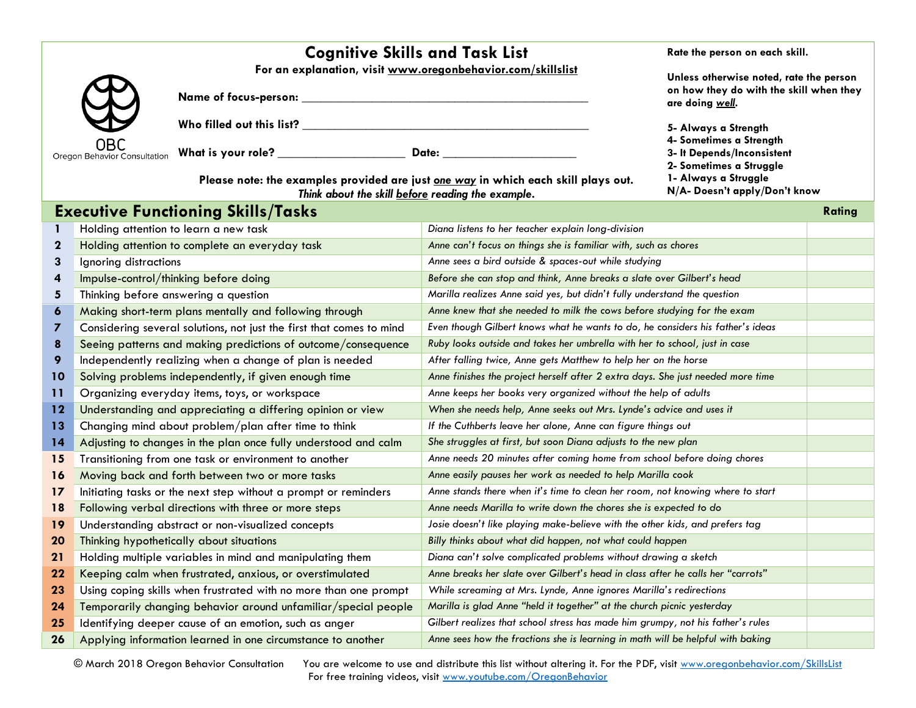|                                            | <b>Cognitive Skills and Task List</b>                                                                                                   | Rate the person on each skill.                                                                                                |  |
|--------------------------------------------|-----------------------------------------------------------------------------------------------------------------------------------------|-------------------------------------------------------------------------------------------------------------------------------|--|
|                                            | For an explanation, visit www.oregonbehavior.com/skillslist                                                                             | Unless otherwise noted, rate the person<br>on how they do with the skill when they<br>are doing well.<br>5- Always a Strength |  |
| w<br>$\boldsymbol{\mathcal{A}}$            | <b>Name of focus-person:</b>                                                                                                            |                                                                                                                               |  |
|                                            | Who filled out this list?                                                                                                               |                                                                                                                               |  |
| <b>OBC</b><br>Oregon Behavior Consultation | What is your role?<br>Date:                                                                                                             | 4- Sometimes a Strength<br>3- It Depends/Inconsistent                                                                         |  |
|                                            | Please note: the examples provided are just one way in which each skill plays out.<br>Think about the skill before reading the example. | 2- Sometimes a Struggle<br>1- Always a Struggle<br>N/A- Doesn't apply/Don't know                                              |  |

## **Executive Functioning Skills/Tasks Rating Rating Rating Rating Rating Rating 1** Holding attention to learn a new task *Diana listens to her teacher explain long-division* **2** Holding attention to complete an everyday task *Anne can't focus on things she is familiar with, such as chores* **3** Ignoring distractions *Anne sees a bird outside & spaces-out while studying* **4** Impulse-control/thinking before doing *Before she can stop and think, Anne breaks a slate over Gilbert's head* **5** Thinking before answering a question *Marilla realizes Anne said yes, but didn't fully understand the question* **6** Making short-term plans mentally and following through *Anne knew that she needed to milk the cows before studying for the exam* **7** Considering several solutions, not just the first that comes to mind *Even though Gilbert knows what he wants to do, he considers his father's ideas* **8** Seeing patterns and making predictions of outcome/consequence *Ruby looks outside and takes her umbrella with her to school, just in case* **9** Independently realizing when a change of plan is needed *After falling twice, Anne gets Matthew to help her on the horse* **10** Solving problems independently, if given enough time *Anne finishes the project herself after 2 extra days. She just needed more time* **11** Organizing everyday items, toys, or workspace *Anne keeps her books very organized without the help of adults* **12** Understanding and appreciating a differing opinion or view *When she needs help, Anne seeks out Mrs. Lynde's advice and uses it* **13** Changing mind about problem/plan after time to think *If the Cuthberts leave her alone, Anne can figure things out* **14** Adjusting to changes in the plan once fully understood and calm *She struggles at first, but soon Diana adjusts to the new plan* 15 Transitioning from one task or environment to another **Anne needs 20 minutes after coming home from school before doing chores 16** Moving back and forth between two or more tasks *Anne easily pauses her work as needed to help Marilla cook* **17** Initiating tasks or the next step without a prompt or reminders *Anne stands there when it's time to clean her room, not knowing where to start* **18** Following verbal directions with three or more steps **Anne needs Marilla to write down the chores she is expected to do 19** Understanding abstract or non-visualized concepts *Josie doesn't like playing make-believe with the other kids, and prefers tag* **20** Thinking hypothetically about situations *Billy thinks about what did happen, not what could happen* **21** Holding multiple variables in mind and manipulating them *Diana can't solve complicated problems without drawing a sketch* **22** Keeping calm when frustrated, anxious, or overstimulated *Anne breaks her slate over Gilbert's head in class after he calls her "carrots"* **23** Using coping skills when frustrated with no more than one prompt *While screaming at Mrs. Lynde, Anne ignores Marilla's redirections* **24** Temporarily changing behavior around unfamiliar/special people *Marilla is glad Anne "held it together" at the church picnic yesterday* **25** Identifying deeper cause of an emotion, such as anger *Gilbert realizes that school stress has made him grumpy, not his father's rules* **26** Applying information learned in one circumstance to another *Anne sees how the fractions she is learning in math will be helpful with baking*

© March 2018 Oregon Behavior Consultation You are welcome to use and distribute this list without altering it. For the PDF, visit [www.oregonbehavior.com/SkillsList](http://www.oregonbehavior.com/SkillsList) For free training videos, visit [www.youtube.com/OregonBehavior](http://www.youtube.com/OregonBehavior)